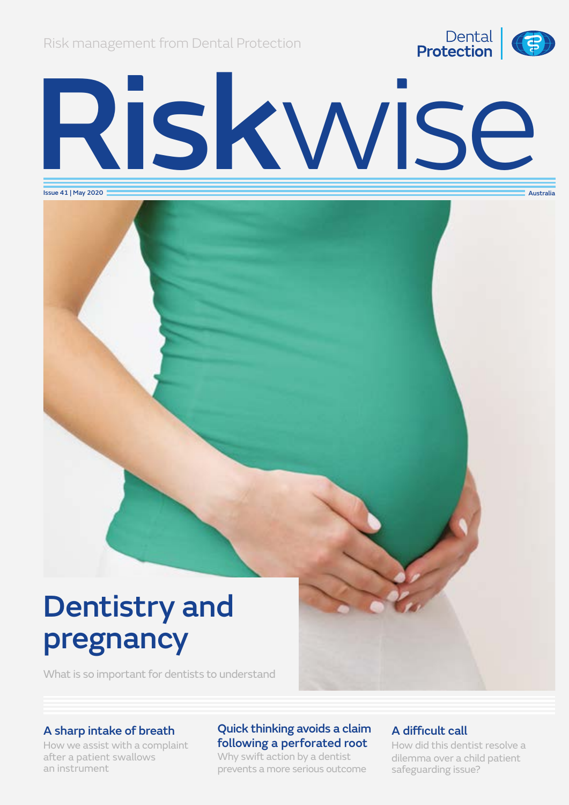Risk management from Dental Protection



# Riskwise Australia

Issue 41 | May 2020

# Dentistry and pregnancy

What is so important for dentists to understand

### A sharp intake of breath

How we assist with a complaint after a patient swallows an instrument

### Quick thinking avoids a claim following a perforated root

Why swift action by a dentist prevents a more serious outcome

### A difficult call

How did this dentist resolve a dilemma over a child patient safeguarding issue?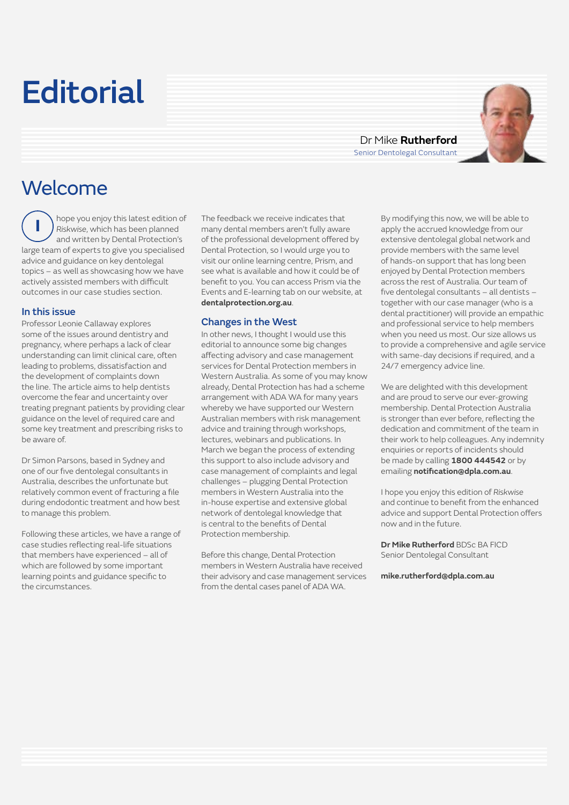# **Editorial**

Dr Mike **Rutherford** Senior Dentolegal Consultant



### Welcome

hope you enjoy this latest edition of *Riskwise*, which has been planned and written by Dental Protection's large team of experts to give you specialised advice and guidance on key dentolegal topics – as well as showcasing how we have actively assisted members with difficult outcomes in our case studies section.  **I**

#### In this issue

Professor Leonie Callaway explores some of the issues around dentistry and pregnancy, where perhaps a lack of clear understanding can limit clinical care, often leading to problems, dissatisfaction and the development of complaints down the line. The article aims to help dentists overcome the fear and uncertainty over treating pregnant patients by providing clear guidance on the level of required care and some key treatment and prescribing risks to be aware of.

Dr Simon Parsons, based in Sydney and one of our five dentolegal consultants in Australia, describes the unfortunate but relatively common event of fracturing a file during endodontic treatment and how best to manage this problem.

Following these articles, we have a range of case studies reflecting real-life situations that members have experienced – all of which are followed by some important learning points and guidance specific to the circumstances.

The feedback we receive indicates that many dental members aren't fully aware of the professional development offered by Dental Protection, so I would urge you to visit our online learning centre, Prism, and see what is available and how it could be of benefit to you. You can access Prism via the Events and E-learning tab on our website, at **dentalprotection.org.au**.

### Changes in the West

In other news, I thought I would use this editorial to announce some big changes affecting advisory and case management services for Dental Protection members in Western Australia. As some of you may know already, Dental Protection has had a scheme arrangement with ADA WA for many years whereby we have supported our Western Australian members with risk management advice and training through workshops, lectures, webinars and publications. In March we began the process of extending this support to also include advisory and case management of complaints and legal challenges – plugging Dental Protection members in Western Australia into the in-house expertise and extensive global network of dentolegal knowledge that is central to the benefits of Dental Protection membership.

Before this change, Dental Protection members in Western Australia have received their advisory and case management services from the dental cases panel of ADA WA.

By modifying this now, we will be able to apply the accrued knowledge from our extensive dentolegal global network and provide members with the same level of hands-on support that has long been enjoyed by Dental Protection members across the rest of Australia. Our team of five dentolegal consultants – all dentists – together with our case manager (who is a dental practitioner) will provide an empathic and professional service to help members when you need us most. Our size allows us to provide a comprehensive and agile service with same-day decisions if required, and a 24/7 emergency advice line.

We are delighted with this development and are proud to serve our ever-growing membership. Dental Protection Australia is stronger than ever before, reflecting the dedication and commitment of the team in their work to help colleagues. Any indemnity enquiries or reports of incidents should be made by calling **1800 444542** or by emailing **notification@dpla.com.au**.

I hope you enjoy this edition of *Riskwise*  and continue to benefit from the enhanced advice and support Dental Protection offers now and in the future.

**Dr Mike Rutherford** BDSc BA FICD Senior Dentolegal Consultant

**[mike.rutherford@dpla.com.au](mailto:mike.rutherford@dpla.com.au)**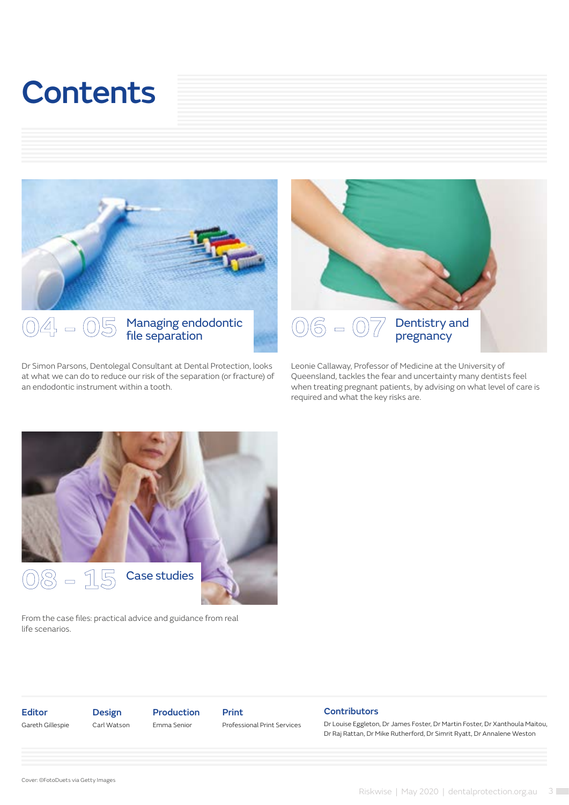# **Contents**



## 04 - 05 Managing endodontic<br>file separation

Dr Simon Parsons, Dentolegal Consultant at Dental Protection, looks at what we can do to reduce our risk of the separation (or fracture) of an endodontic instrument within a tooth.



Leonie Callaway, Professor of Medicine at the University of Queensland, tackles the fear and uncertainty many dentists feel when treating pregnant patients, by advising on what level of care is required and what the key risks are.



From the case files: practical advice and guidance from real life scenarios.

Editor Gareth Gillespie Design Carl Watson Production Emma Senior

Print Professional Print Services

#### **Contributors**

Dr Louise Eggleton, Dr James Foster, Dr Martin Foster, Dr Xanthoula Maitou, Dr Raj Rattan, Dr Mike Rutherford, Dr Simrit Ryatt, Dr Annalene Weston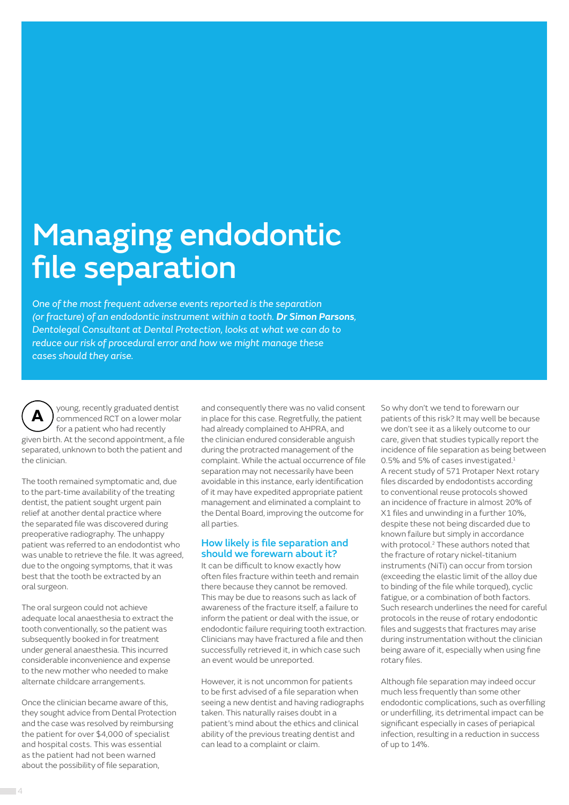# Managing endodontic file separation

*One of the most frequent adverse events reported is the separation (or fracture) of an endodontic instrument within a tooth. Dr Simon Parsons, Dentolegal Consultant at Dental Protection, looks at what we can do to reduce our risk of procedural error and how we might manage these cases should they arise.*

young, recently graduated dentist commenced RCT on a lower molar for a patient who had recently given birth. At the second appointment, a file separated, unknown to both the patient and the clinician.  **A** 

The tooth remained symptomatic and, due to the part-time availability of the treating dentist, the patient sought urgent pain relief at another dental practice where the separated file was discovered during preoperative radiography. The unhappy patient was referred to an endodontist who was unable to retrieve the file. It was agreed, due to the ongoing symptoms, that it was best that the tooth be extracted by an oral surgeon.

The oral surgeon could not achieve adequate local anaesthesia to extract the tooth conventionally, so the patient was subsequently booked in for treatment under general anaesthesia. This incurred considerable inconvenience and expense to the new mother who needed to make alternate childcare arrangements.

Once the clinician became aware of this, they sought advice from Dental Protection and the case was resolved by reimbursing the patient for over \$4,000 of specialist and hospital costs. This was essential as the patient had not been warned about the possibility of file separation,

and consequently there was no valid consent in place for this case. Regretfully, the patient had already complained to AHPRA, and the clinician endured considerable anguish during the protracted management of the complaint. While the actual occurrence of file separation may not necessarily have been avoidable in this instance, early identification of it may have expedited appropriate patient management and eliminated a complaint to the Dental Board, improving the outcome for all parties.

#### How likely is file separation and should we forewarn about it?

It can be difficult to know exactly how often files fracture within teeth and remain there because they cannot be removed. This may be due to reasons such as lack of awareness of the fracture itself, a failure to inform the patient or deal with the issue, or endodontic failure requiring tooth extraction. Clinicians may have fractured a file and then successfully retrieved it, in which case such an event would be unreported.

However, it is not uncommon for patients to be first advised of a file separation when seeing a new dentist and having radiographs taken. This naturally raises doubt in a patient's mind about the ethics and clinical ability of the previous treating dentist and can lead to a complaint or claim.

So why don't we tend to forewarn our patients of this risk? It may well be because we don't see it as a likely outcome to our care, given that studies typically report the incidence of file separation as being between 0.5% and 5% of cases investigated.<sup>1</sup> A recent study of 571 Protaper Next rotary files discarded by endodontists according to conventional reuse protocols showed an incidence of fracture in almost 20% of X1 files and unwinding in a further 10%, despite these not being discarded due to known failure but simply in accordance with protocol.<sup>2</sup> These authors noted that the fracture of rotary nickel-titanium instruments (NiTi) can occur from torsion (exceeding the elastic limit of the alloy due to binding of the file while torqued), cyclic fatigue, or a combination of both factors. Such research underlines the need for careful protocols in the reuse of rotary endodontic files and suggests that fractures may arise during instrumentation without the clinician being aware of it, especially when using fine rotary files.

Although file separation may indeed occur much less frequently than some other endodontic complications, such as overfilling or underfilling, its detrimental impact can be significant especially in cases of periapical infection, resulting in a reduction in success of up to 14%.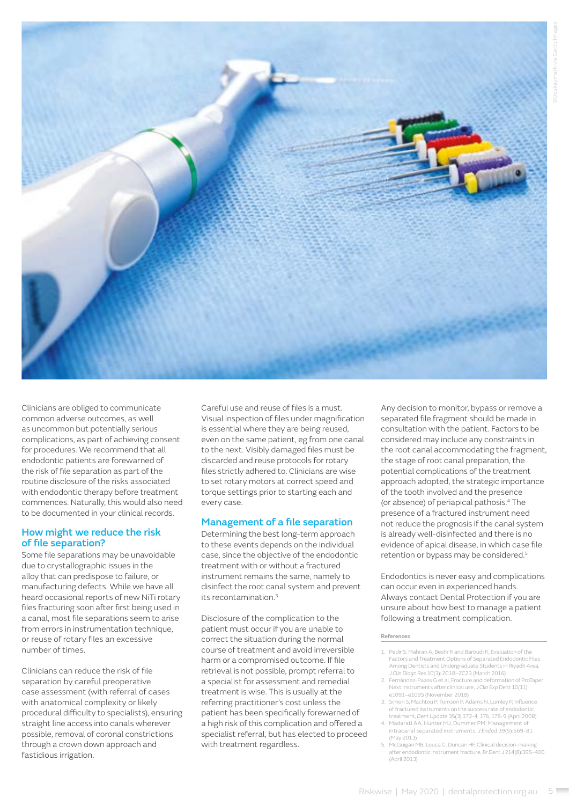

Clinicians are obliged to communicate common adverse outcomes, as well as uncommon but potentially serious complications, as part of achieving consent for procedures. We recommend that all endodontic patients are forewarned of the risk of file separation as part of the routine disclosure of the risks associated with endodontic therapy before treatment commences. Naturally, this would also need to be documented in your clinical records.

#### How might we reduce the risk of file separation?

Some file separations may be unavoidable due to crystallographic issues in the alloy that can predispose to failure, or manufacturing defects. While we have all heard occasional reports of new NiTi rotary files fracturing soon after first being used in a canal, most file separations seem to arise from errors in instrumentation technique, or reuse of rotary files an excessive number of times.

Clinicians can reduce the risk of file separation by careful preoperative case assessment (with referral of cases with anatomical complexity or likely procedural difficulty to specialists), ensuring straight line access into canals wherever possible, removal of coronal constrictions through a crown down approach and fastidious irrigation.

Careful use and reuse of files is a must. Visual inspection of files under magnification is essential where they are being reused, even on the same patient, eg from one canal to the next. Visibly damaged files must be discarded and reuse protocols for rotary files strictly adhered to. Clinicians are wise to set rotary motors at correct speed and torque settings prior to starting each and every case.

### Management of a file separation

Determining the best long-term approach to these events depends on the individual case, since the objective of the endodontic treatment with or without a fractured instrument remains the same, namely to disinfect the root canal system and prevent its recontamination  $3$ 

Disclosure of the complication to the patient must occur if you are unable to correct the situation during the normal course of treatment and avoid irreversible harm or a compromised outcome. If file retrieval is not possible, prompt referral to a specialist for assessment and remedial treatment is wise. This is usually at the referring practitioner's cost unless the patient has been specifically forewarned of a high risk of this complication and offered a specialist referral, but has elected to proceed with treatment regardless.

Any decision to monitor, bypass or remove a separated file fragment should be made in consultation with the patient. Factors to be considered may include any constraints in the root canal accommodating the fragment, the stage of root canal preparation, the potential complications of the treatment approach adopted, the strategic importance of the tooth involved and the presence (or absence) of periapical pathosis.4 The presence of a fractured instrument need not reduce the prognosis if the canal system is already well-disinfected and there is no evidence of apical disease, in which case file retention or bypass may be considered.<sup>5</sup>

Endodontics is never easy and complications can occur even in experienced hands. Always contact Dental Protection if you are unsure about how best to manage a patient following a treatment complication.

- 1. Pedir S, Mahran A, Beshr K and Baroudi K, Evaluation of the Factors and Treatment Options of Separated Endodontic Files Among Dentists and Undergraduate Students in Riyadh Area, *J Clin Diagn Res* 10(3): ZC18–ZC23 (March 2016)
- 2. Fernández-Pazos G et al, Fracture and deformation of ProTaper Next instruments after clinical use, *J Clin Exp Dent* 10(11): e1091–e1095 (November 2018)
- 3. Simon S, Machtou P, Tomson P, Adams N, Lumley P, Influence of fractured instruments on the success rate of endodontic treatment, *Dent Update* 35(3):172-4, 176, 178-9 (April 2008)
- 4. Madarati AA, Hunter MJ, Dummer PM, Managem intracanal separated instruments, *J Endod* 39(5):569-81 (May 2013)
- 5. McGuigan MB, Louca C, Duncan HF, Clinical decision-making after endodontic instrument fracture, *Br Dent J* 214(8):395-400 (April 2013)

**References**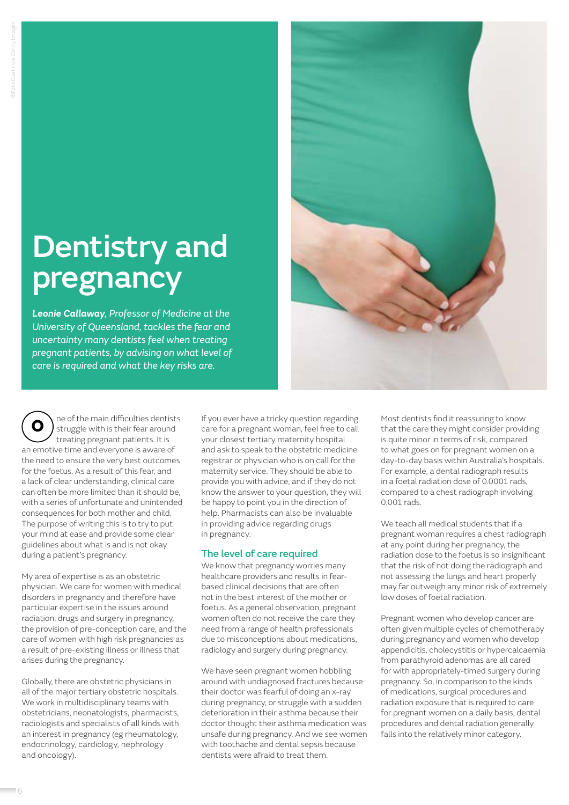# Dentistry and pregnancy

*Leonie Callaway, Professor of Medicine at the University of Queensland, tackles the fear and uncertainty many dentists feel when treating pregnant patients, by advising on what level of care is required and what the key risks are.*

ne of the main difficulties dentists struggle with is their fear around treating pregnant patients. It is an emotive time and everyone is aware of the need to ensure the very best outcomes for the foetus. As a result of this fear, and a lack of clear understanding, clinical care can often be more limited than it should be, with a series of unfortunate and unintended consequences for both mother and child. The purpose of writing this is to try to put your mind at ease and provide some clear guidelines about what is and is not okay during a patient's pregnancy.  **O** 

My area of expertise is as an obstetric physician. We care for women with medical disorders in pregnancy and therefore have particular expertise in the issues around radiation, drugs and surgery in pregnancy, the provision of pre-conception care, and the care of women with high risk pregnancies as a result of pre-existing illness or illness that arises during the pregnancy.

Globally, there are obstetric physicians in all of the major tertiary obstetric hospitals. We work in multidisciplinary teams with obstetricians, neonatologists, pharmacists, radiologists and specialists of all kinds with an interest in pregnancy (eg rheumatology, endocrinology, cardiology, nephrology and oncology).

If you ever have a tricky question regarding care for a pregnant woman, feel free to call your closest tertiary maternity hospital and ask to speak to the obstetric medicine registrar or physician who is on call for the maternity service. They should be able to provide you with advice, and if they do not know the answer to your question, they will be happy to point you in the direction of help. Pharmacists can also be invaluable in providing advice regarding drugs in pregnancy.

### The level of care required

We know that pregnancy worries many healthcare providers and results in fearbased clinical decisions that are often not in the best interest of the mother or foetus. As a general observation, pregnant women often do not receive the care they need from a range of health professionals due to misconceptions about medications, radiology and surgery during pregnancy.

We have seen pregnant women hobbling around with undiagnosed fractures because their doctor was fearful of doing an x-ray during pregnancy, or struggle with a sudden deterioration in their asthma because their doctor thought their asthma medication was unsafe during pregnancy. And we see women with toothache and dental sepsis because dentists were afraid to treat them.



Most dentists find it reassuring to know that the care they might consider providing is quite minor in terms of risk, compared to what goes on for pregnant women on a day-to-day basis within Australia's hospitals. For example, a dental radiograph results in a foetal radiation dose of 0.0001 rads, compared to a chest radiograph involving 0.001 rads.

We teach all medical students that if a pregnant woman requires a chest radiograph at any point during her pregnancy, the radiation dose to the foetus is so insignificant that the risk of not doing the radiograph and not assessing the lungs and heart properly may far outweigh any minor risk of extremely low doses of foetal radiation.

Pregnant women who develop cancer are often given multiple cycles of chemotherapy during pregnancy and women who develop appendicitis, cholecystitis or hypercalcaemia from parathyroid adenomas are all cared for with appropriately-timed surgery during pregnancy. So, in comparison to the kinds of medications, surgical procedures and radiation exposure that is required to care for pregnant women on a daily basis, dental procedures and dental radiation generally falls into the relatively minor category.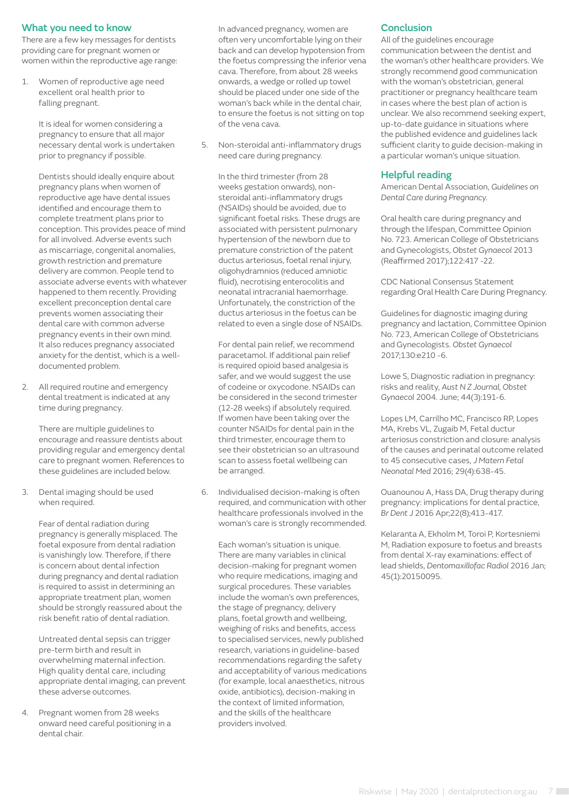#### What you need to know

There are a few key messages for dentists providing care for pregnant women or women within the reproductive age range:

1. Women of reproductive age need excellent oral health prior to falling pregnant.

> It is ideal for women considering a pregnancy to ensure that all major necessary dental work is undertaken prior to pregnancy if possible.

Dentists should ideally enquire about pregnancy plans when women of reproductive age have dental issues identified and encourage them to complete treatment plans prior to conception. This provides peace of mind for all involved. Adverse events such as miscarriage, congenital anomalies, growth restriction and premature delivery are common. People tend to associate adverse events with whatever happened to them recently. Providing excellent preconception dental care prevents women associating their dental care with common adverse pregnancy events in their own mind. It also reduces pregnancy associated anxiety for the dentist, which is a welldocumented problem.

2. All required routine and emergency dental treatment is indicated at any time during pregnancy.

> There are multiple guidelines to encourage and reassure dentists about providing regular and emergency dental care to pregnant women. References to these guidelines are included below.

3. Dental imaging should be used when required.

> Fear of dental radiation during pregnancy is generally misplaced. The foetal exposure from dental radiation is vanishingly low. Therefore, if there is concern about dental infection during pregnancy and dental radiation is required to assist in determining an appropriate treatment plan, women should be strongly reassured about the risk benefit ratio of dental radiation.

Untreated dental sepsis can trigger pre-term birth and result in overwhelming maternal infection. High quality dental care, including appropriate dental imaging, can prevent these adverse outcomes.

4. Pregnant women from 28 weeks onward need careful positioning in a dental chair.

In advanced pregnancy, women are often very uncomfortable lying on their back and can develop hypotension from the foetus compressing the inferior vena cava. Therefore, from about 28 weeks onwards, a wedge or rolled up towel should be placed under one side of the woman's back while in the dental chair, to ensure the foetus is not sitting on top of the vena cava.

5. Non-steroidal anti-inflammatory drugs need care during pregnancy.

In the third trimester (from 28 weeks gestation onwards), nonsteroidal anti-inflammatory drugs (NSAIDs) should be avoided, due to significant foetal risks. These drugs are associated with persistent pulmonary hypertension of the newborn due to premature constriction of the patent ductus arteriosus, foetal renal injury, oligohydramnios (reduced amniotic fluid), necrotising enterocolitis and neonatal intracranial haemorrhage. Unfortunately, the constriction of the ductus arteriosus in the foetus can be related to even a single dose of NSAIDs.

For dental pain relief, we recommend paracetamol. If additional pain relief is required opioid based analgesia is safer, and we would suggest the use of codeine or oxycodone. NSAIDs can be considered in the second trimester (12-28 weeks) if absolutely required. If women have been taking over the counter NSAIDs for dental pain in the third trimester, encourage them to see their obstetrician so an ultrasound scan to assess foetal wellbeing can be arranged.

6. Individualised decision-making is often required, and communication with other healthcare professionals involved in the woman's care is strongly recommended.

> Each woman's situation is unique. There are many variables in clinical decision-making for pregnant women who require medications, imaging and surgical procedures. These variables include the woman's own preferences, the stage of pregnancy, delivery plans, foetal growth and wellbeing, weighing of risks and benefits, access to specialised services, newly published research, variations in guideline-based recommendations regarding the safety and acceptability of various medications (for example, local anaesthetics, nitrous oxide, antibiotics), decision-making in the context of limited information, and the skills of the healthcare providers involved.

### **Conclusion**

All of the guidelines encourage communication between the dentist and the woman's other healthcare providers. We strongly recommend good communication with the woman's obstetrician, general practitioner or pregnancy healthcare team in cases where the best plan of action is unclear. We also recommend seeking expert, up-to-date guidance in situations where the published evidence and guidelines lack sufficient clarity to guide decision-making in a particular woman's unique situation.

### Helpful reading

American Dental Association, *Guidelines on Dental Care during Pregnancy*.

Oral health care during pregnancy and through the lifespan, Committee Opinion No. 723. American College of Obstetricians and Gynecologists, *Obstet Gynaecol* 2013 (Reaffirmed 2017);122:417 -22.

CDC National Consensus Statement regarding Oral Health Care During Pregnancy.

Guidelines for diagnostic imaging during pregnancy and lactation, Committee Opinion No. 723, American College of Obstetricians and Gynecologists. *Obstet Gynaecol*  2017;130:e210 -6.

Lowe S, Diagnostic radiation in pregnancy: risks and reality, *Aust N Z Journal, Obstet Gynaecol* 2004. June; 44(3):191-6.

Lopes LM, Carrilho MC, Francisco RP, Lopes MA, Krebs VL, Zugaib M, Fetal ductur arteriosus constriction and closure: analysis of the causes and perinatal outcome related to 45 consecutive cases, *J Matern Fetal Neonatal Med* 2016; 29(4):638-45.

Ouanounou A, Hass DA, Drug therapy during pregnancy: implications for dental practice, *Br Dent J* 2016 Apr;22(8);413-417.

Kelaranta A, Ekholm M, Toroi P, Kortesniemi M, Radiation exposure to foetus and breasts from dental X-ray examinations: effect of lead shields, *Dentomaxillofac Radiol* 2016 Jan; 45(1):20150095.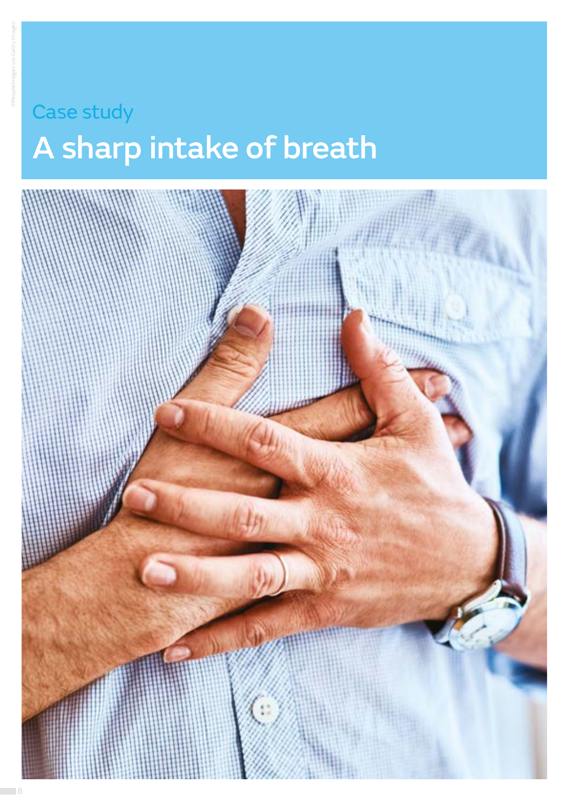### Case study

# A sharp intake of breath

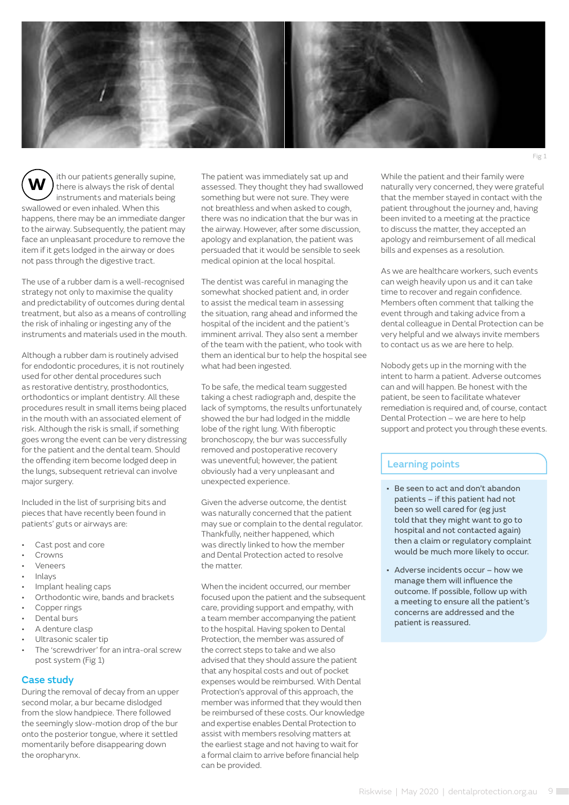

ith our patients generally supine, there is always the risk of dental instruments and materials being swallowed or even inhaled. When this happens, there may be an immediate danger to the airway. Subsequently, the patient may face an unpleasant procedure to remove the item if it gets lodged in the airway or does not pass through the digestive tract. **W** 

The use of a rubber dam is a well-recognised strategy not only to maximise the quality and predictability of outcomes during dental treatment, but also as a means of controlling the risk of inhaling or ingesting any of the instruments and materials used in the mouth.

Although a rubber dam is routinely advised for endodontic procedures, it is not routinely used for other dental procedures such as restorative dentistry, prosthodontics, orthodontics or implant dentistry. All these procedures result in small items being placed in the mouth with an associated element of risk. Although the risk is small, if something goes wrong the event can be very distressing for the patient and the dental team. Should the offending item become lodged deep in the lungs, subsequent retrieval can involve major surgery.

Included in the list of surprising bits and pieces that have recently been found in patients' guts or airways are:

- Cast post and core
- Crowns
- **Veneers**
- Inlays
- Implant healing caps
- Orthodontic wire, bands and brackets
- Copper rings
- Dental burs
- A denture clasp
- Ultrasonic scaler tip
- The 'screwdriver' for an intra-oral screw post system (Fig 1)

#### Case study

During the removal of decay from an upper second molar, a bur became dislodged from the slow handpiece. There followed the seemingly slow-motion drop of the bur onto the posterior tongue, where it settled momentarily before disappearing down the oropharynx.

The patient was immediately sat up and assessed. They thought they had swallowed something but were not sure. They were not breathless and when asked to cough, there was no indication that the bur was in the airway. However, after some discussion, apology and explanation, the patient was persuaded that it would be sensible to seek medical opinion at the local hospital.

The dentist was careful in managing the somewhat shocked patient and, in order to assist the medical team in assessing the situation, rang ahead and informed the hospital of the incident and the patient's imminent arrival. They also sent a member of the team with the patient, who took with them an identical bur to help the hospital see what had been ingested.

To be safe, the medical team suggested taking a chest radiograph and, despite the lack of symptoms, the results unfortunately showed the bur had lodged in the middle lobe of the right lung. With fiberoptic bronchoscopy, the bur was successfully removed and postoperative recovery was uneventful; however, the patient obviously had a very unpleasant and unexpected experience.

Given the adverse outcome, the dentist was naturally concerned that the patient may sue or complain to the dental regulator. Thankfully, neither happened, which was directly linked to how the member and Dental Protection acted to resolve the matter.

When the incident occurred, our member focused upon the patient and the subsequent care, providing support and empathy, with a team member accompanying the patient to the hospital. Having spoken to Dental Protection, the member was assured of the correct steps to take and we also advised that they should assure the patient that any hospital costs and out of pocket expenses would be reimbursed. With Dental Protection's approval of this approach, the member was informed that they would then be reimbursed of these costs. Our knowledge and expertise enables Dental Protection to assist with members resolving matters at the earliest stage and not having to wait for a formal claim to arrive before financial help can be provided.

While the patient and their family were naturally very concerned, they were grateful that the member stayed in contact with the patient throughout the journey and, having been invited to a meeting at the practice to discuss the matter, they accepted an apology and reimbursement of all medical bills and expenses as a resolution.

As we are healthcare workers, such events can weigh heavily upon us and it can take time to recover and regain confidence. Members often comment that talking the event through and taking advice from a dental colleague in Dental Protection can be very helpful and we always invite members to contact us as we are here to help.

Nobody gets up in the morning with the intent to harm a patient. Adverse outcomes can and will happen. Be honest with the patient, be seen to facilitate whatever remediation is required and, of course, contact Dental Protection – we are here to help support and protect you through these events.

- Be seen to act and don't abandon patients – if this patient had not been so well cared for (eg just told that they might want to go to hospital and not contacted again) then a claim or regulatory complaint would be much more likely to occur.
- Adverse incidents occur how we manage them will influence the outcome. If possible, follow up with a meeting to ensure all the patient's concerns are addressed and the patient is reassured.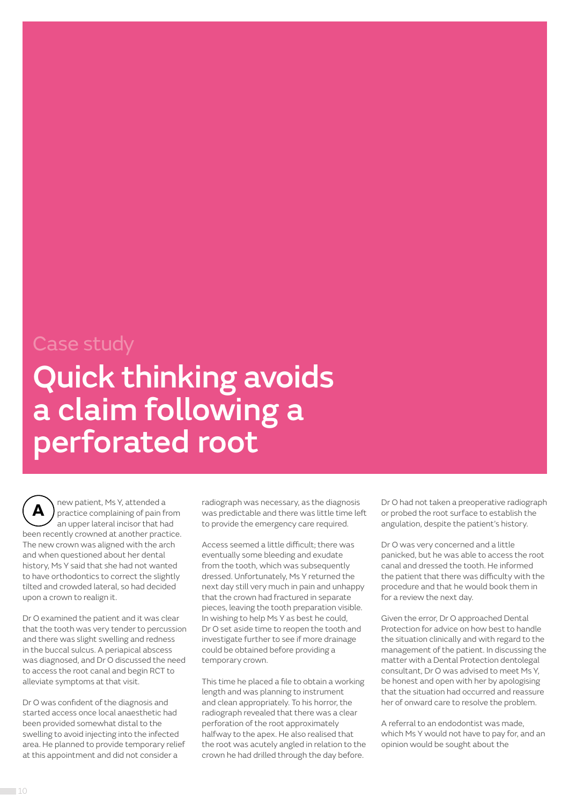### Case study

# Quick thinking avoids a claim following a perforated root

new patient, Ms Y, attended a practice complaining of pain from an upper lateral incisor that had been recently crowned at another practice. The new crown was aligned with the arch and when questioned about her dental history, Ms Y said that she had not wanted to have orthodontics to correct the slightly tilted and crowded lateral, so had decided upon a crown to realign it.  **A** 

Dr O examined the patient and it was clear that the tooth was very tender to percussion and there was slight swelling and redness in the buccal sulcus. A periapical abscess was diagnosed, and Dr O discussed the need to access the root canal and begin RCT to alleviate symptoms at that visit.

Dr O was confident of the diagnosis and started access once local anaesthetic had been provided somewhat distal to the swelling to avoid injecting into the infected area. He planned to provide temporary relief at this appointment and did not consider a

radiograph was necessary, as the diagnosis was predictable and there was little time left to provide the emergency care required.

Access seemed a little difficult; there was eventually some bleeding and exudate from the tooth, which was subsequently dressed. Unfortunately, Ms Y returned the next day still very much in pain and unhappy that the crown had fractured in separate pieces, leaving the tooth preparation visible. In wishing to help Ms Y as best he could, Dr O set aside time to reopen the tooth and investigate further to see if more drainage could be obtained before providing a temporary crown.

This time he placed a file to obtain a working length and was planning to instrument and clean appropriately. To his horror, the radiograph revealed that there was a clear perforation of the root approximately halfway to the apex. He also realised that the root was acutely angled in relation to the crown he had drilled through the day before.

Dr O had not taken a preoperative radiograph or probed the root surface to establish the angulation, despite the patient's history.

Dr O was very concerned and a little panicked, but he was able to access the root canal and dressed the tooth. He informed the patient that there was difficulty with the procedure and that he would book them in for a review the next day.

Given the error, Dr O approached Dental Protection for advice on how best to handle the situation clinically and with regard to the management of the patient. In discussing the matter with a Dental Protection dentolegal consultant, Dr O was advised to meet Ms Y, be honest and open with her by apologising that the situation had occurred and reassure her of onward care to resolve the problem.

A referral to an endodontist was made, which Ms Y would not have to pay for, and an opinion would be sought about the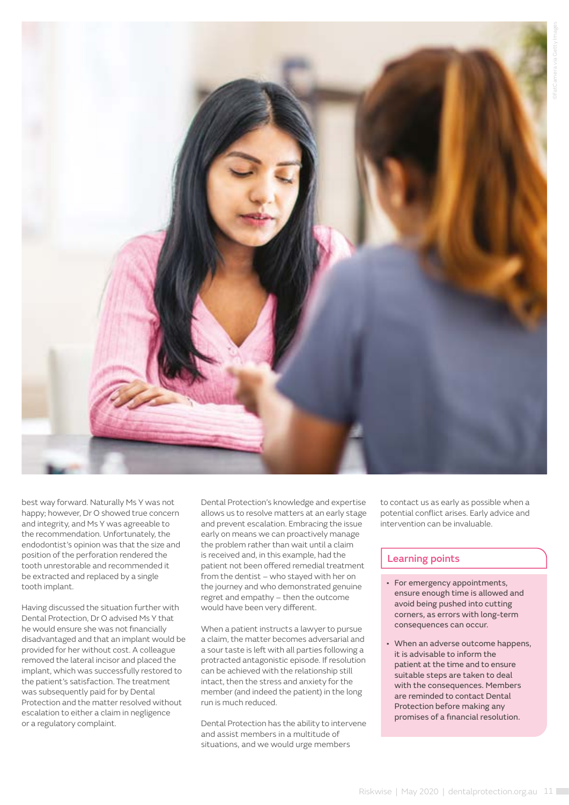

best way forward. Naturally Ms Y was not happy; however, Dr O showed true concern and integrity, and Ms Y was agreeable to the recommendation. Unfortunately, the endodontist's opinion was that the size and position of the perforation rendered the tooth unrestorable and recommended it be extracted and replaced by a single tooth implant.

Having discussed the situation further with Dental Protection, Dr O advised Ms Y that he would ensure she was not financially disadvantaged and that an implant would be provided for her without cost. A colleague removed the lateral incisor and placed the implant, which was successfully restored to the patient's satisfaction. The treatment was subsequently paid for by Dental Protection and the matter resolved without escalation to either a claim in negligence or a regulatory complaint.

Dental Protection's knowledge and expertise allows us to resolve matters at an early stage and prevent escalation. Embracing the issue early on means we can proactively manage the problem rather than wait until a claim is received and, in this example, had the patient not been offered remedial treatment from the dentist – who stayed with her on the journey and who demonstrated genuine regret and empathy – then the outcome would have been very different.

When a patient instructs a lawyer to pursue a claim, the matter becomes adversarial and a sour taste is left with all parties following a protracted antagonistic episode. If resolution can be achieved with the relationship still intact, then the stress and anxiety for the member (and indeed the patient) in the long run is much reduced.

Dental Protection has the ability to intervene and assist members in a multitude of situations, and we would urge members

to contact us as early as possible when a potential conflict arises. Early advice and intervention can be invaluable.

- For emergency appointments, ensure enough time is allowed and avoid being pushed into cutting corners, as errors with long-term consequences can occur.
- When an adverse outcome happens, it is advisable to inform the patient at the time and to ensure suitable steps are taken to deal with the consequences. Members are reminded to contact Dental Protection before making any promises of a financial resolution.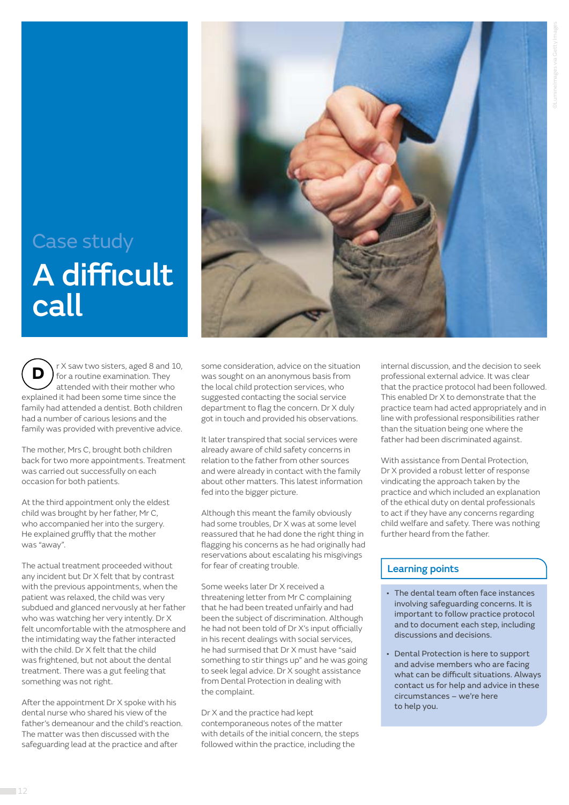## Case study A difficult call

r X saw two sisters, aged 8 and 10, for a routine examination. They attended with their mother who explained it had been some time since the family had attended a dentist. Both children had a number of carious lesions and the family was provided with preventive advice.  **D**

The mother, Mrs C, brought both children back for two more appointments. Treatment was carried out successfully on each occasion for both patients.

At the third appointment only the eldest child was brought by her father, Mr C, who accompanied her into the surgery. He explained gruffly that the mother was "away".

The actual treatment proceeded without any incident but Dr X felt that by contrast with the previous appointments, when the patient was relaxed, the child was very subdued and glanced nervously at her father who was watching her very intently. Dr X felt uncomfortable with the atmosphere and the intimidating way the father interacted with the child. Dr X felt that the child was frightened, but not about the dental treatment. There was a gut feeling that something was not right.

After the appointment Dr X spoke with his dental nurse who shared his view of the father's demeanour and the child's reaction. The matter was then discussed with the safeguarding lead at the practice and after



some consideration, advice on the situation was sought on an anonymous basis from the local child protection services, who suggested contacting the social service department to flag the concern. Dr X duly got in touch and provided his observations.

It later transpired that social services were already aware of child safety concerns in relation to the father from other sources and were already in contact with the family about other matters. This latest information fed into the bigger picture.

Although this meant the family obviously had some troubles, Dr X was at some level reassured that he had done the right thing in flagging his concerns as he had originally had reservations about escalating his misgivings for fear of creating trouble.

Some weeks later Dr X received a threatening letter from Mr C complaining that he had been treated unfairly and had been the subject of discrimination. Although he had not been told of Dr X's input officially in his recent dealings with social services, he had surmised that Dr X must have "said something to stir things up" and he was going to seek legal advice. Dr X sought assistance from Dental Protection in dealing with the complaint.

Dr X and the practice had kept contemporaneous notes of the matter with details of the initial concern, the steps followed within the practice, including the

internal discussion, and the decision to seek professional external advice. It was clear that the practice protocol had been followed. This enabled Dr X to demonstrate that the practice team had acted appropriately and in line with professional responsibilities rather than the situation being one where the father had been discriminated against.

With assistance from Dental Protection, Dr X provided a robust letter of response vindicating the approach taken by the practice and which included an explanation of the ethical duty on dental professionals to act if they have any concerns regarding child welfare and safety. There was nothing further heard from the father.

- The dental team often face instances involving safeguarding concerns. It is important to follow practice protocol and to document each step, including discussions and decisions.
- Dental Protection is here to support and advise members who are facing what can be difficult situations. Always contact us for help and advice in these circumstances – we're here to help you.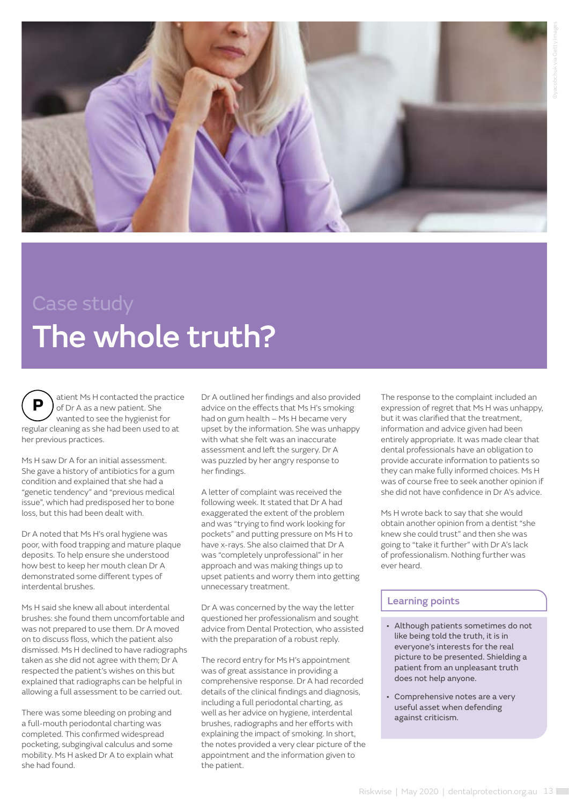

# The whole truth?

atient Ms H contacted the practice of Dr A as a new patient. She wanted to see the hygienist for regular cleaning as she had been used to at her previous practices.  **P**

Ms H saw Dr A for an initial assessment. She gave a history of antibiotics for a gum condition and explained that she had a "genetic tendency" and "previous medical issue", which had predisposed her to bone loss, but this had been dealt with.

Dr A noted that Ms H's oral hygiene was poor, with food trapping and mature plaque deposits. To help ensure she understood how best to keep her mouth clean Dr A demonstrated some different types of interdental brushes.

Ms H said she knew all about interdental brushes: she found them uncomfortable and was not prepared to use them. Dr A moved on to discuss floss, which the patient also dismissed. Ms H declined to have radiographs taken as she did not agree with them; Dr A respected the patient's wishes on this but explained that radiographs can be helpful in allowing a full assessment to be carried out.

There was some bleeding on probing and a full-mouth periodontal charting was completed. This confirmed widespread pocketing, subgingival calculus and some mobility. Ms H asked Dr A to explain what she had found.

Dr A outlined her findings and also provided advice on the effects that Ms H's smoking had on gum health – Ms H became very upset by the information. She was unhappy with what she felt was an inaccurate assessment and left the surgery. Dr A was puzzled by her angry response to her findings.

A letter of complaint was received the following week. It stated that Dr A had exaggerated the extent of the problem and was "trying to find work looking for pockets" and putting pressure on Ms H to have x-rays. She also claimed that Dr A was "completely unprofessional" in her approach and was making things up to upset patients and worry them into getting unnecessary treatment.

Dr A was concerned by the way the letter questioned her professionalism and sought advice from Dental Protection, who assisted with the preparation of a robust reply.

The record entry for Ms H's appointment was of great assistance in providing a comprehensive response. Dr A had recorded details of the clinical findings and diagnosis, including a full periodontal charting, as well as her advice on hygiene, interdental brushes, radiographs and her efforts with explaining the impact of smoking. In short, the notes provided a very clear picture of the appointment and the information given to the patient.

The response to the complaint included an expression of regret that Ms H was unhappy, but it was clarified that the treatment, information and advice given had been entirely appropriate. It was made clear that dental professionals have an obligation to provide accurate information to patients so they can make fully informed choices. Ms H was of course free to seek another opinion if she did not have confidence in Dr A's advice.

Ms H wrote back to say that she would obtain another opinion from a dentist "she knew she could trust" and then she was going to "take it further" with Dr A's lack of professionalism. Nothing further was ever heard.

- Although patients sometimes do not like being told the truth, it is in everyone's interests for the real picture to be presented. Shielding a patient from an unpleasant truth does not help anyone.
- Comprehensive notes are a very useful asset when defending against criticism.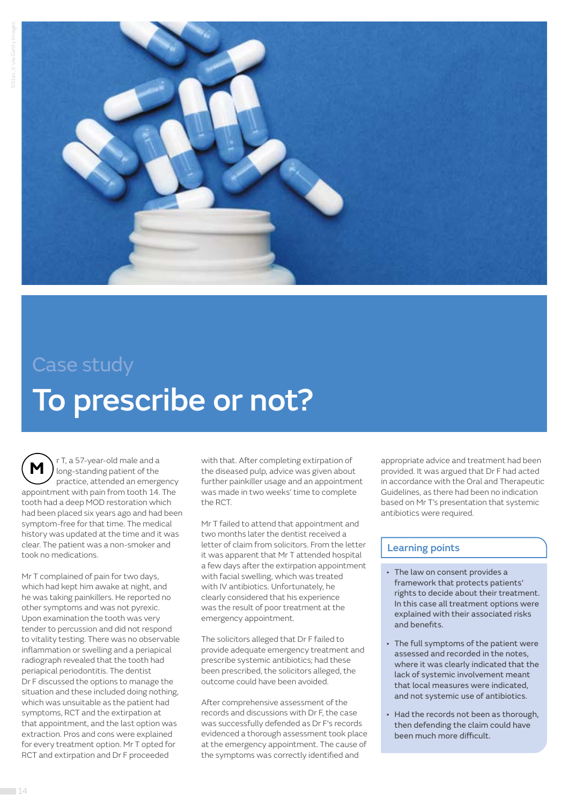

# Case study To prescribe or not?

r T, a 57-year-old male and a long-standing patient of the practice, attended an emergency appointment with pain from tooth 14. The tooth had a deep MOD restoration which had been placed six years ago and had been symptom-free for that time. The medical history was updated at the time and it was clear. The patient was a non-smoker and took no medications. **M**

Mr T complained of pain for two days, which had kept him awake at night, and he was taking painkillers. He reported no other symptoms and was not pyrexic. Upon examination the tooth was very tender to percussion and did not respond to vitality testing. There was no observable inflammation or swelling and a periapical radiograph revealed that the tooth had periapical periodontitis. The dentist Dr F discussed the options to manage the situation and these included doing nothing, which was unsuitable as the patient had symptoms, RCT and the extirpation at that appointment, and the last option was extraction. Pros and cons were explained for every treatment option. Mr T opted for RCT and extirpation and Dr F proceeded

with that. After completing extirpation of the diseased pulp, advice was given about further painkiller usage and an appointment was made in two weeks' time to complete the RCT.

Mr T failed to attend that appointment and two months later the dentist received a letter of claim from solicitors. From the letter it was apparent that Mr T attended hospital a few days after the extirpation appointment with facial swelling, which was treated with IV antibiotics. Unfortunately, he clearly considered that his experience was the result of poor treatment at the emergency appointment.

The solicitors alleged that Dr F failed to provide adequate emergency treatment and prescribe systemic antibiotics; had these been prescribed, the solicitors alleged, the outcome could have been avoided.

After comprehensive assessment of the records and discussions with Dr F, the case was successfully defended as Dr F's records evidenced a thorough assessment took place at the emergency appointment. The cause of the symptoms was correctly identified and

appropriate advice and treatment had been provided. It was argued that Dr F had acted in accordance with the Oral and Therapeutic Guidelines, as there had been no indication based on Mr T's presentation that systemic antibiotics were required.

- The law on consent provides a framework that protects patients' rights to decide about their treatment. In this case all treatment options were explained with their associated risks and benefits.
- The full symptoms of the patient were assessed and recorded in the notes, where it was clearly indicated that the lack of systemic involvement meant that local measures were indicated, and not systemic use of antibiotics.
- Had the records not been as thorough, then defending the claim could have been much more difficult.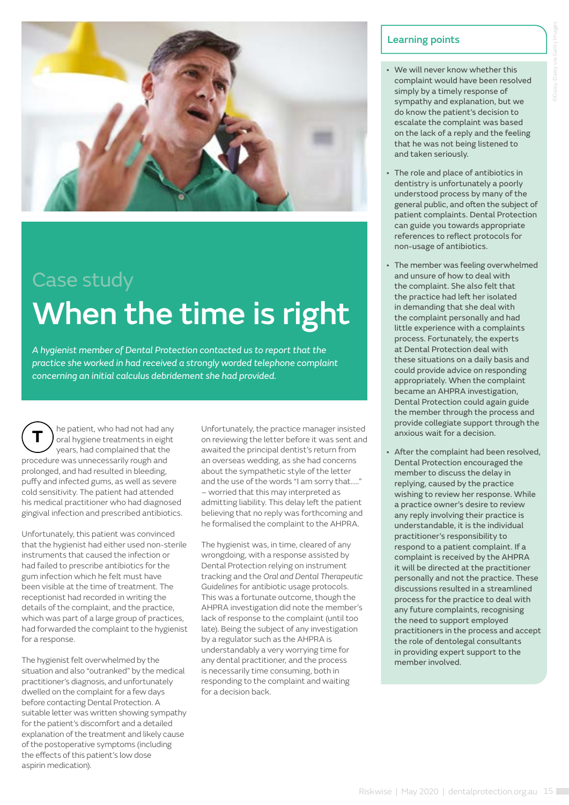

# Case study When the time is right

*A hygienist member of Dental Protection contacted us to report that the practice she worked in had received a strongly worded telephone complaint concerning an initial calculus debridement she had provided.*

he patient, who had not had any oral hygiene treatments in eight years, had complained that the procedure was unnecessarily rough and prolonged, and had resulted in bleeding, puffy and infected gums, as well as severe cold sensitivity. The patient had attended his medical practitioner who had diagnosed gingival infection and prescribed antibiotics.  **T**

Unfortunately, this patient was convinced that the hygienist had either used non-sterile instruments that caused the infection or had failed to prescribe antibiotics for the gum infection which he felt must have been visible at the time of treatment. The receptionist had recorded in writing the details of the complaint, and the practice, which was part of a large group of practices, had forwarded the complaint to the hygienist for a response.

The hygienist felt overwhelmed by the situation and also "outranked" by the medical practitioner's diagnosis, and unfortunately dwelled on the complaint for a few days before contacting Dental Protection. A suitable letter was written showing sympathy for the patient's discomfort and a detailed explanation of the treatment and likely cause of the postoperative symptoms (including the effects of this patient's low dose aspirin medication).

Unfortunately, the practice manager insisted on reviewing the letter before it was sent and awaited the principal dentist's return from an overseas wedding, as she had concerns about the sympathetic style of the letter and the use of the words "I am sorry that….." – worried that this may interpreted as admitting liability. This delay left the patient believing that no reply was forthcoming and he formalised the complaint to the AHPRA.

The hygienist was, in time, cleared of any wrongdoing, with a response assisted by Dental Protection relying on instrument tracking and the *Oral and Dental Therapeutic Guidelines* for antibiotic usage protocols. This was a fortunate outcome, though the AHPRA investigation did note the member's lack of response to the complaint (until too late). Being the subject of any investigation by a regulator such as the AHPRA is understandably a very worrying time for any dental practitioner, and the process is necessarily time consuming, both in responding to the complaint and waiting for a decision back.

- We will never know whether this complaint would have been resolved simply by a timely response of sympathy and explanation, but we do know the patient's decision to escalate the complaint was based on the lack of a reply and the feeling that he was not being listened to and taken seriously.
- The role and place of antibiotics in dentistry is unfortunately a poorly understood process by many of the general public, and often the subject of patient complaints. Dental Protection can guide you towards appropriate references to reflect protocols for non-usage of antibiotics.
- The member was feeling overwhelmed and unsure of how to deal with the complaint. She also felt that the practice had left her isolated in demanding that she deal with the complaint personally and had little experience with a complaints process. Fortunately, the experts at Dental Protection deal with these situations on a daily basis and could provide advice on responding appropriately. When the complaint became an AHPRA investigation, Dental Protection could again guide the member through the process and provide collegiate support through the anxious wait for a decision.
- After the complaint had been resolved, Dental Protection encouraged the member to discuss the delay in replying, caused by the practice wishing to review her response. While a practice owner's desire to review any reply involving their practice is understandable, it is the individual practitioner's responsibility to respond to a patient complaint. If a complaint is received by the AHPRA it will be directed at the practitioner personally and not the practice. These discussions resulted in a streamlined process for the practice to deal with any future complaints, recognising the need to support employed practitioners in the process and accept the role of dentolegal consultants in providing expert support to the member involved.